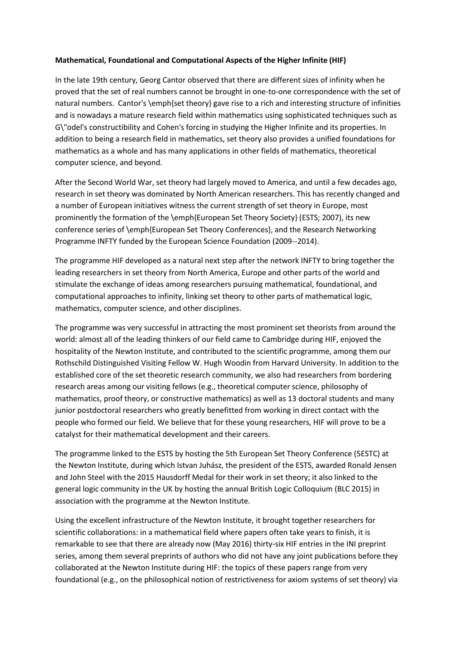## **Mathematical, Foundational and Computational Aspects of the Higher Infinite (HIF)**

In the late 19th century, Georg Cantor observed that there are different sizes of infinity when he proved that the set of real numbers cannot be brought in one-to-one correspondence with the set of natural numbers. Cantor's \emph{set theory} gave rise to a rich and interesting structure of infinities and is nowadays a mature research field within mathematics using sophisticated techniques such as G\"odel's constructibility and Cohen's forcing in studying the Higher Infinite and its properties. In addition to being a research field in mathematics, set theory also provides a unified foundations for mathematics as a whole and has many applications in other fields of mathematics, theoretical computer science, and beyond.

After the Second World War, set theory had largely moved to America, and until a few decades ago, research in set theory was dominated by North American researchers. This has recently changed and a number of European initiatives witness the current strength of set theory in Europe, most prominently the formation of the \emph{European Set Theory Society} (ESTS; 2007), its new conference series of \emph{European Set Theory Conferences}, and the Research Networking Programme INFTY funded by the European Science Foundation (2009--2014).

The programme HIF developed as a natural next step after the network INFTY to bring together the leading researchers in set theory from North America, Europe and other parts of the world and stimulate the exchange of ideas among researchers pursuing mathematical, foundational, and computational approaches to infinity, linking set theory to other parts of mathematical logic, mathematics, computer science, and other disciplines.

The programme was very successful in attracting the most prominent set theorists from around the world: almost all of the leading thinkers of our field came to Cambridge during HIF, enjoyed the hospitality of the Newton Institute, and contributed to the scientific programme, among them our Rothschild Distinguished Visiting Fellow W. Hugh Woodin from Harvard University. In addition to the established core of the set theoretic research community, we also had researchers from bordering research areas among our visiting fellows (e.g., theoretical computer science, philosophy of mathematics, proof theory, or constructive mathematics) as well as 13 doctoral students and many junior postdoctoral researchers who greatly benefitted from working in direct contact with the people who formed our field. We believe that for these young researchers, HIF will prove to be a catalyst for their mathematical development and their careers.

The programme linked to the ESTS by hosting the 5th European Set Theory Conference (5ESTC) at the Newton Institute, during which Istvan Juhász, the president of the ESTS, awarded Ronald Jensen and John Steel with the 2015 Hausdorff Medal for their work in set theory; it also linked to the general logic community in the UK by hosting the annual British Logic Colloquium (BLC 2015) in association with the programme at the Newton Institute.

Using the excellent infrastructure of the Newton Institute, it brought together researchers for scientific collaborations: in a mathematical field where papers often take years to finish, it is remarkable to see that there are already now (May 2016) thirty-six HIF entries in the INI preprint series, among them several preprints of authors who did not have any joint publications before they collaborated at the Newton Institute during HIF: the topics of these papers range from very foundational (e.g., on the philosophical notion of restrictiveness for axiom systems of set theory) via